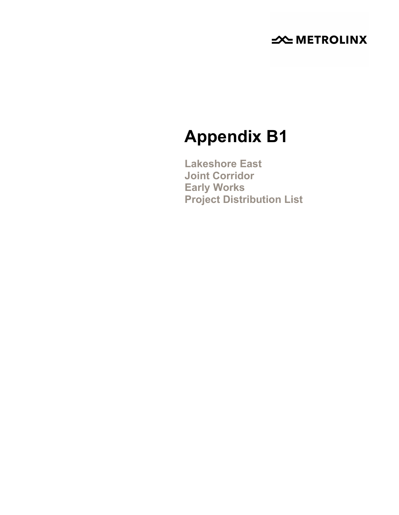## **SOUTHER THE METROLINX**

# **Appendix B1**

**Lakeshore East Joint Corridor Early Works Project Distribution List**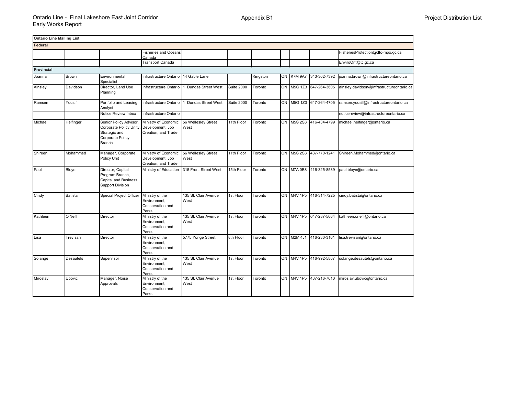| <b>Ontario Line Mailing List</b> |                  |                                                                                                                          |                                                                 |                              |                   |          |            |                         |                                           |
|----------------------------------|------------------|--------------------------------------------------------------------------------------------------------------------------|-----------------------------------------------------------------|------------------------------|-------------------|----------|------------|-------------------------|-------------------------------------------|
| Federal                          |                  |                                                                                                                          |                                                                 |                              |                   |          |            |                         |                                           |
|                                  |                  |                                                                                                                          | <b>Fisheries and Oceans</b>                                     |                              |                   |          |            |                         | FisheriesProtection@dfo-mpo.gc.ca         |
|                                  |                  |                                                                                                                          | Canada                                                          |                              |                   |          |            |                         |                                           |
|                                  |                  |                                                                                                                          | <b>Transport Canada</b>                                         |                              |                   |          |            |                         | EnviroOnt@tc.gc.ca                        |
| <b>Provincial</b>                |                  |                                                                                                                          |                                                                 |                              |                   |          |            |                         |                                           |
| Joanna                           | <b>Brown</b>     | Environmental<br>Specialist                                                                                              | Infrastructure Ontario                                          | 14 Gable Lane                |                   | Kingston | ON K7M 9A7 | 343-302-7392            | joanna.brown@infrastructureontario.ca     |
| Ainsley                          | Davidson         | Director, Land Use<br>Planning                                                                                           | Infrastructure Ontario                                          | <b>Dundas Street West</b>    | <b>Suite 2000</b> | Toronto  | ON M5G 1Z3 | 647-264-3605            | ainsley.davidson@infrastructureontario.ca |
| Ramsen                           | Yousif           | Portfolio and Leasing<br>Analyst                                                                                         | Infrastructure Ontario                                          | <b>Dundas Street West</b>    | <b>Suite 2000</b> | Toronto  |            | ON M5G 1Z3 647-264-4705 | ramsen.yousif@infrastructureontario.ca    |
|                                  |                  | Notice Review Inbox                                                                                                      | Infrastructure Ontario                                          |                              |                   |          |            |                         | noticereview@infrastructureontario.ca     |
| Michael                          | Helfinger        | Senior Policy Advisor,<br>Corporate Policy Unity, Development, Job<br>Strategic and<br>Corporate Policy<br><b>Branch</b> | Ministry of Economic<br>Creation, and Trade                     | 56 Wellesley Street<br>West  | 11th Floor        | Toronto  | ON M5S 2S3 | 416-434-4799            | michael.helfinger@ontario.ca              |
| Shireen                          | Mohammed         | Manager, Corporate<br>Policy Unit                                                                                        | Ministry of Economic<br>Development, Job<br>Creation, and Trade | 56 Wellesley Street<br>West  | 11th Floor        | Toronto  | ON M5S 2S3 | 437-770-1241            | Shireen.Mohammed@ontario.ca               |
| Paul                             | Bloye            | Director, Capital<br>Program Branch,<br><b>Capital and Business</b><br><b>Support Division</b>                           | Ministry of Education                                           | 315 Front Street West        | 15th Floor        | Toronto  | ON M7A 0B8 | 416-325-8589            | paul.bloye@ontario.ca                     |
| Cindy                            | <b>Batista</b>   | Special Project Officer                                                                                                  | Ministry of the<br>Environment.<br>Conservation and<br>Parks    | 135 St. Clair Avenue<br>West | 1st Floor         | Toronto  | ON M4V 1P5 | 416-314-7225            | cindy.batista@ontario.ca                  |
| Kathleen                         | O'Neill          | <b>Director</b>                                                                                                          | Ministry of the<br>Environment.<br>Conservation and<br>Parks    | 135 St. Clair Avenue<br>West | 1st Floor         | Toronto  | ON M4V 1P5 | 647-287-5664            | kathleen.oneill@ontario.ca                |
| Lisa                             | Trevisan         | Director                                                                                                                 | Ministry of the<br>Environment,<br>Conservation and<br>Parks    | 5775 Yonge Street            | 8th Floor         | Toronto  | ON M2M 4J1 | 416-230-3161            | lisa.trevisan@ontario.ca                  |
| Solange                          | <b>Desautels</b> | Supervisor                                                                                                               | Ministry of the<br>Environment,<br>Conservation and<br>Parks    | 135 St. Clair Avenue<br>West | 1st Floor         | Toronto  | ON M4V 1P5 | 416-992-5867            | solange.desautels@ontario.ca              |
| Miroslav                         | Ubovic           | Manager, Noise<br>Approvals                                                                                              | Ministry of the<br>Environment,<br>Conservation and<br>Parks    | 135 St. Clair Avenue<br>West | 1st Floor         | Toronto  | ON M4V 1P5 | 437-216-7610            | miroslav.ubovic@ontario.ca                |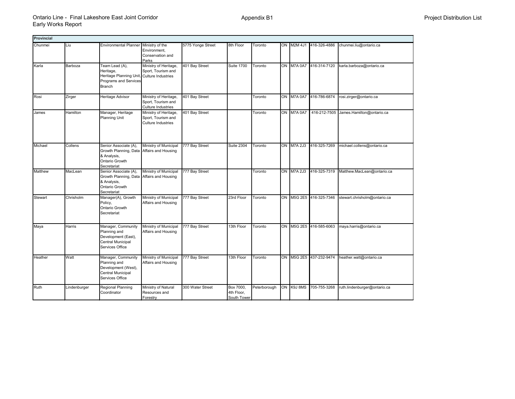| <b>Provincial</b> |              |                                                                                                                     |                                                                          |                   |                                        |              |    |                   |                         |                                        |
|-------------------|--------------|---------------------------------------------------------------------------------------------------------------------|--------------------------------------------------------------------------|-------------------|----------------------------------------|--------------|----|-------------------|-------------------------|----------------------------------------|
| Chunmei           | Liu          | Environmental Planner Ministry of the                                                                               | Environment,<br>Conservation and<br>Parks                                | 5775 Yonge Street | 8th Floor                              | Toronto      | ON | M2M 4J1           | 416-326-4886            | chunmei.liu@ontario.ca                 |
| Karla             | Barboza      | Team Lead (A),<br>Heritage,<br>Heritage Planning Unit, Culture Industries<br>Programs and Services<br><b>Branch</b> | Ministry of Heritage<br>Sport, Tourism and                               | 401 Bay Street    | <b>Suite 1700</b>                      | Toronto      |    | ON M7A 0A7        | 416-314-7120            | karla.barboza@ontario.ca               |
| Rosi              | Zirger       | Heritage Advisor                                                                                                    | Ministry of Heritage,<br>Sport, Tourism and<br><b>Culture Industries</b> | 401 Bay Street    |                                        | Toronto      |    | ON M7A 0A7        | 416-786-6874            | rosi.zirger@ontario.ca                 |
| James             | Hamilton     | Manager, Heritage<br><b>Planning Unit</b>                                                                           | Ministry of Heritage,<br>Sport, Tourism and<br><b>Culture Industries</b> | 401 Bay Street    |                                        | Toronto      |    | ON M7A 0A7        |                         | 416-212-7505 James.Hamilton@ontario.ca |
| Michael           | Collens      | Senior Associate (A),<br>Growth Planning, Data<br>& Analysis,<br>Ontario Growth<br>Secretariat                      | Ministry of Municipal<br>Affairs and Housing                             | 777 Bay Street    | <b>Suite 2304</b>                      | Toronto      |    | ON M7A 2J3        | 416-325-7269            | michael.collens@ontario.ca             |
| Matthew           | MacLean      | Senior Associate (A),<br>Growth Planning, Data<br>& Analysis,<br>Ontario Growth<br>Secretariat                      | Ministry of Municipal<br>Affairs and Housing                             | 777 Bay Street    |                                        | Toronto      |    | <b>ON M7A 2J3</b> | 416-325-7319            | Matthew.MacLean@ontario.ca             |
| <b>Stewart</b>    | Chrisholm    | Manager(A), Growth<br>Policy,<br>Ontario Growth<br>Secretariat                                                      | Ministry of Municipal<br>Affairs and Housing                             | 777 Bay Street    | 23rd Floor                             | Toronto      |    |                   | ON M5G 2E5 416-325-7346 | stewart.chrisholm@ontario.ca           |
| Maya              | Harris       | Manager, Community<br>Planning and<br>Development (East),<br>Central Municipal<br>Services Office                   | Ministry of Municipal<br>Affairs and Housing                             | 777 Bay Street    | 13th Floor                             | Toronto      |    |                   | ON M5G 2E5 416-585-6063 | maya.harris@ontario.ca                 |
| Heather           | Watt         | Manager, Community<br>Planning and<br>Development (West),<br>Central Municipal<br>Services Office                   | Ministry of Municipal<br>Affairs and Housing                             | 777 Bay Street    | 13th Floor                             | Toronto      |    |                   | ON M5G 2E5 437-232-9474 | heather.watt@ontario.ca                |
| Ruth              | Lindenburger | Regional Planning<br>Coordinator                                                                                    | Ministry of Natural<br>Resources and<br>Forestry                         | 300 Water Street  | Box 7000,<br>4th Floor,<br>South Tower | Peterborough |    | ON K9J8MS         | 705-755-3268            | ruth.lindenburger@ontario.ca           |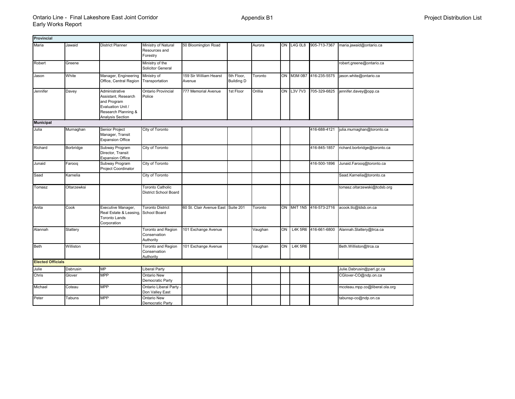| <b>Provincial</b>        |             |                                                                                                                             |                                                         |                                    |                                 |         |    |                |                         |                                |
|--------------------------|-------------|-----------------------------------------------------------------------------------------------------------------------------|---------------------------------------------------------|------------------------------------|---------------------------------|---------|----|----------------|-------------------------|--------------------------------|
| Maria                    | Jawaid      | District Planner                                                                                                            | Ministry of Natural<br>Resources and<br>Forestry        | 50 Bloomington Road                |                                 | Aurora  | ON | <b>L4G 0L8</b> | 905-713-7367            | maria.jawaid@ontario.ca        |
| Robert                   | Greene      |                                                                                                                             | Ministry of the<br>Solicitor General                    |                                    |                                 |         |    |                |                         | robert.greene@ontario.ca       |
| Jason                    | White       | Manager, Engineering<br>Office, Central Region                                                                              | Ministry of<br>Transportation                           | 159 Sir William Hearst<br>Avenue   | 5th Floor,<br><b>Building D</b> | Toronto |    |                | ON M3M 0B7 416-235-5575 | jason.white@ontario.ca         |
| Jennifer                 | Davey       | Administrative<br>Assistant, Research<br>and Program<br>Evaluation Unit /<br>Research Planning &<br><b>Analysis Section</b> | Ontario Provincial<br>Police                            | 777 Memorial Avenue                | 1st Floor                       | Orillia |    | ON L3V 7V3     | 705-329-6825            | jennifer.davey@opp.ca          |
| <b>Municipal</b>         |             |                                                                                                                             |                                                         |                                    |                                 |         |    |                |                         |                                |
| Julia                    | Murnaghan   | Senior Project<br>Manager, Transit<br><b>Expansion Office</b>                                                               | City of Toronto                                         |                                    |                                 |         |    |                | 416-688-4121            | julia.murnaghan@toronto.ca     |
| Richard                  | Borbridge   | Subway Program<br>Director, Transit<br><b>Expansion Office</b>                                                              | City of Toronto                                         |                                    |                                 |         |    |                | 416-845-1857            | richard.borbridge@toronto.ca   |
| Junaid                   | Faroog      | Subway Program<br>Project Coordinator                                                                                       | City of Toronto                                         |                                    |                                 |         |    |                | 416-500-1896            | Junaid.Farooq@toronto.ca       |
| Saad                     | Karnelia    |                                                                                                                             | City of Toronto                                         |                                    |                                 |         |    |                |                         | Saad.Karnelia@toronto.ca       |
| Tomasz                   | Oltarzewksi |                                                                                                                             | <b>Toronto Catholic</b><br><b>District School Board</b> |                                    |                                 |         |    |                |                         | tomasz.oltarzewski@tcdsb.org   |
| Anita                    | Cook        | Executive Manager,<br>Real Estate & Leasing,<br><b>Toronto Lands</b><br>Corporation                                         | <b>Toronto District</b><br>School Board                 | 60 St. Clair Avenue East Suite 201 |                                 | Toronto |    |                | ON M4T 1N5 416-573-2716 | acook.tlc@tdsb.on.ca           |
| Alannah                  | Slattery    |                                                                                                                             | <b>Toronto and Region</b><br>Conservation<br>Authority  | 101 Exchange Avenue                |                                 | Vaughan | ON |                | L4K 5R6 416-661-6800    | Alannah.Slattery@trca.ca       |
| Beth                     | Williston   |                                                                                                                             | Toronto and Region<br>Conservation<br>Authority         | 101 Exchange Avenue                |                                 | Vaughan | ON | <b>L4K 5R6</b> |                         | Beth.Williston@trca.ca         |
| <b>Elected Officials</b> |             |                                                                                                                             |                                                         |                                    |                                 |         |    |                |                         |                                |
| Julie                    | Dabrusin    | <b>MP</b>                                                                                                                   | <b>Liberal Party</b>                                    |                                    |                                 |         |    |                |                         | Julie.Dabrusin@parl.gc.ca      |
| Chris                    | Glover      | <b>MPP</b>                                                                                                                  | Ontario New<br>Democratic Party                         |                                    |                                 |         |    |                |                         | CGlover-CO@ndp.on.ca           |
| Michael                  | Coteau      | <b>MPP</b>                                                                                                                  | <b>Ontario Liberal Party</b><br>Don Valley East         |                                    |                                 |         |    |                |                         | mcoteau.mpp.co@liberal.ola.org |
| Peter                    | Tabuns      | <b>MPP</b>                                                                                                                  | <b>Ontario New</b><br>Democratic Party                  |                                    |                                 |         |    |                |                         | tabunsp-co@ndp.on.ca           |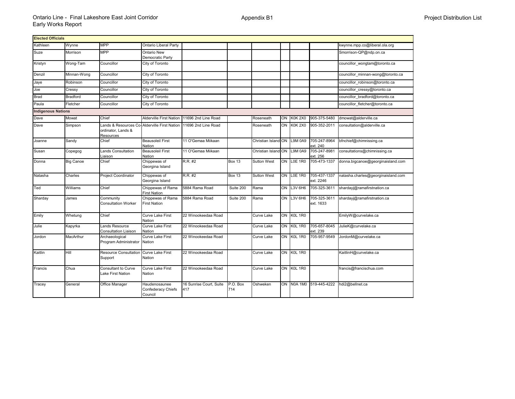| <b>Elected Officials</b>  |                  |                                                                                 |                                                |                                |                 |                             |    |                        |                           |                                    |
|---------------------------|------------------|---------------------------------------------------------------------------------|------------------------------------------------|--------------------------------|-----------------|-----------------------------|----|------------------------|---------------------------|------------------------------------|
| Kathleen                  | Wynne            | <b>MPP</b>                                                                      | Ontario Liberal Party                          |                                |                 |                             |    |                        |                           | kwynne.mpp.co@liberal.ola.org      |
| Suze                      | Morrison         | <b>MPP</b>                                                                      | <b>Ontario New</b><br>Democratic Party         |                                |                 |                             |    |                        |                           | Smorrison-QP@ndp.on.ca             |
| Kristyn                   | Wong-Tam         | Councillor                                                                      | City of Toronto                                |                                |                 |                             |    |                        |                           | councillor wongtam@toronto.ca      |
| Denzil                    | Minnan-Wong      | Councillor                                                                      | City of Toronto                                |                                |                 |                             |    |                        |                           | councillor minnan-wong@toronto.ca  |
| Jaye                      | Robinson         | Councillor                                                                      | City of Toronto                                |                                |                 |                             |    |                        |                           | councillor robinson@toronto.ca     |
| Joe                       | Cressy           | Councillor                                                                      | City of Toronto                                |                                |                 |                             |    |                        |                           | councillor cressy@toronto.ca       |
| <b>Brad</b>               | <b>Bradford</b>  | Councillor                                                                      | City of Toronto                                |                                |                 |                             |    |                        |                           | councillor bradford@toronto.ca     |
| Paula                     | Fletcher         | Councillor                                                                      | City of Toronto                                |                                |                 |                             |    |                        |                           | councillor fletcher@toronto.ca     |
| <b>Indigenous Nations</b> |                  |                                                                                 |                                                |                                |                 |                             |    |                        |                           |                                    |
| Dave                      | Mowat            | Chief                                                                           | <b>Alderville First Nation</b>                 | 11696 2nd Line Road            |                 | Roseneath                   | ON | <b>K0K 2X0</b>         | 905-375-5480              | dmowat@alderville.ca               |
| Dave                      | Simpson          | Lands & Resources Co-Alderville First Nation<br>ordinator, Lands &<br>Resources |                                                | 11696 2nd Line Road            |                 | Roseneath                   | ON | <b>K0K 2X0</b>         | 905-352-2011              | consultation@alderville.ca         |
| Joanne                    | Sandy            | Chief                                                                           | <b>Beausoleil First</b><br><b>Nation</b>       | 11 O'Gemaa Miikaan             |                 | Christian Island ON L9M 0A9 |    |                        | 705-247-8964<br>ext. 240  | bfnchief@chimnissing.ca            |
| Susan                     | Copegog          | <b>Lands Consultation</b><br>Liaison                                            | <b>Beausoleil First</b><br><b>Nation</b>       | 11 O'Gemaa Miikaan             |                 | Christian Island ON         |    | $L9M$ $0\overline{A9}$ | 705-247-8981<br>ext. 256  | consultations@chimnissing.ca       |
| Donna                     | <b>Big Canoe</b> | Chief                                                                           | Chippewas of<br>Georgina Island                | R.R. #2                        | <b>Box 13</b>   | <b>Sutton West</b>          | ON | <b>LOE 1R0</b>         | 705-473-1337              | donna.bigcanoe@georginaisland.com  |
| Natasha                   | Charles          | <b>Project Coordinator</b>                                                      | Chippewas of<br>Georgina Island                | R.R. #2                        | <b>Box 13</b>   | <b>Sutton West</b>          | ON | <b>L0E 1R0</b>         | 705-437-1337<br>ext. 2246 | natasha.charles@georginaisland.com |
| Ted                       | Williams         | Chief                                                                           | Chippewas of Rama<br><b>First Nation</b>       | 5884 Rama Road                 | Suite 200       | Rama                        |    | ON L3V 6H6             | 705-325-3611              | shardayj@ramafirstnation.ca        |
| Sharday                   | James            | Community<br><b>Consultation Worker</b>                                         | Chippewas of Rama<br><b>First Nation</b>       | 5884 Rama Road                 | Suite 200       | Rama                        | ON | L3V 6H6                | 705-325-3611<br>ext. 1633 | shardayj@ramafirstnation.ca        |
| Emily                     | Whetung          | Chief                                                                           | <b>Curve Lake First</b><br><b>Nation</b>       | 22 Winookeedaa Road            |                 | Curve Lake                  |    | ON K0L 1R0             |                           | EmilyW@curvelake.ca                |
| Julie                     | Kapyrka          | <b>Lands Resource</b><br><b>Consultation Liaison</b>                            | <b>Curve Lake First</b><br>Nation              | 22 Winookeedaa Road            |                 | Curve Lake                  | ON | <b>K0L 1R0</b>         | 705-657-8045<br>ext. 239  | JulieK@curvelake.ca                |
| Jordon                    | MacArthur        | Archaeological<br>Program Administrator Nation                                  | <b>Curve Lake First</b>                        | 22 Winookeedaa Road            |                 | Curve Lake                  |    | ON K0L 1R0             | 705-957-9549              | JordonM@curvelake.ca               |
| Kaitlin                   | Hill             | <b>Resource Consultation</b><br>Support                                         | <b>Curve Lake First</b><br>Nation              | 22 Winookeedaa Road            |                 | Curve Lake                  |    | ON K0L 1R0             |                           | KaitlinH@curvelake.ca              |
| Francis                   | Chua             | <b>Consultant to Curve</b><br><b>Lake First Nation</b>                          | <b>Curve Lake First</b><br>Nation              | 22 Winookeedaa Road            |                 | Curve Lake                  |    | ON K0L 1R0             |                           | francis@francischua.com            |
| Tracey                    | General          | Office Manager                                                                  | Haudenosaunee<br>Confederacy Chiefs<br>Council | 16 Sunrise Court, Suite<br>417 | P.O. Box<br>714 | Oshweken                    |    |                        | ON N0A 1M0 519-445-4222   | hdi2@bellnet.ca                    |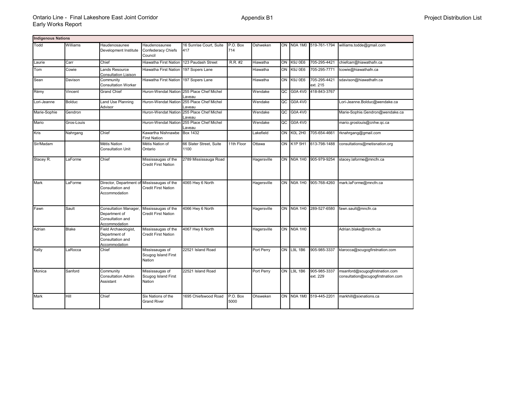| <b>Indigenous Nations</b> |               |                                                                                  |                                                   |                                                     |                  |             |    |                   |                          |                                                                      |
|---------------------------|---------------|----------------------------------------------------------------------------------|---------------------------------------------------|-----------------------------------------------------|------------------|-------------|----|-------------------|--------------------------|----------------------------------------------------------------------|
| Todd                      | Williams      | Haudenosaunee<br>Development Institute                                           | Haudenosaunee<br>Confederacy Chiefs<br>Council    | 16 Sunrise Court, Suite<br>417                      | P.O. Box<br>714  | Oshweken    | ON | <b>N0A 1M0</b>    | 519-761-1794             | williams.todde@gmail.com                                             |
| Laurie                    | Carr          | Chief                                                                            | <b>Hiawatha First Nation</b>                      | 123 Paudash Street                                  | R.R. #2          | Hiawatha    | ON | K9J 0E6           | 705-295-4421             | chiefcarr@hiawathafn.ca                                              |
| Tom                       | Cowie         | Lands Resource<br><b>Consultation Liaison</b>                                    | <b>Hiawatha First Nation</b>                      | 197 Sopers Lane                                     |                  | Hiawatha    | ON | K9J 0E6           | 705-295-7771             | tcowie@hiawathafn.ca                                                 |
| Sean                      | Davison       | Community<br><b>Consultation Worker</b>                                          | Hiawatha First Nation 197 Sopers Lane             |                                                     |                  | Hiawatha    | ON | K9J 0E6           | 705-295-4421<br>ext. 215 | sdavison@hiawathafn.ca                                               |
| Rémy                      | Vincent       | <b>Grand Chief</b>                                                               |                                                   | Huron-Wendat Nation 255 Place Chef Michel<br>Laveau |                  | Wendake     | QC | G0A 4V0           | 418-843-3767             |                                                                      |
| Lori-Jeanne               | <b>Bolduc</b> | Land Use Planning<br>Advisor                                                     |                                                   | Huron-Wendat Nation 255 Place Chef Michel<br>Laveau |                  | Wendake     | QC | G0A 4V0           |                          | Lori-Jeanne.Bolduc@wendake.ca                                        |
| Marie-Sophie              | Gendron       |                                                                                  | Huron-Wendat Nation                               | 255 Place Chef Michel<br>Laveau                     |                  | Wendake     | QC | G0A 4V0           |                          | Marie-Sophie.Gendron@wendake.ca                                      |
| Mario                     | Gros-Louis    |                                                                                  |                                                   | Huron-Wendat Nation 255 Place Chef Michel<br>Laveau |                  | Wendake     | QC | G0A 4V0           |                          | mario.groslouis@cnhw.gc.ca                                           |
| Kris                      | Nahrgang      | Chief                                                                            | Kawartha Nishnawbe<br><b>First Nation</b>         | <b>Box 1432</b>                                     |                  | Lakefield   | ON | KOL 2H0           | 705-654-4661             | rknahrgang@gmail.com                                                 |
| Sir/Madam                 |               | Métis Nation<br><b>Consultation Unit</b>                                         | Métis Nation of<br>Ontario                        | 66 Slater Street, Suite<br>1100                     | 11th Floor       | Ottawa      |    | <b>ON K1P 5H1</b> | 613-798-1488             | consultations@metisnation.org                                        |
| Stacey R.                 | LaForme       | Chief                                                                            | Mississaugas of the<br><b>Credit First Nation</b> | 2789 Mississauga Road                               |                  | Hagersville | ON | <b>N0A 1H0</b>    | 905-979-9254             | stacey.laforme@mncfn.ca                                              |
| Mark                      | _aForme       | Director, Department of Mississaugas of the<br>Consultation and<br>Accommodation | <b>Credit First Nation</b>                        | 4065 Hwy 6 North                                    |                  | Hagersville | ON | <b>N0A 1H0</b>    | 905-768-4260             | mark.laForme@mncfn.ca                                                |
| Fawn                      | Sault         | Consultation Manager,<br>Department of<br>Consultation and<br>Accommodation      | Mississaugas of the<br><b>Credit First Nation</b> | 4066 Hwy 6 North                                    |                  | Hagersville | ON | <b>N0A 1H0</b>    | 289-527-6580             | fawn.sault@mncfn.ca                                                  |
| Adrian                    | Blake         | Field Archaeologist,<br>Department of<br>Consultation and<br>Accommodation       | Mississaugas of the<br><b>Credit First Nation</b> | 4067 Hwy 6 North                                    |                  | Hagersville |    | ON N0A 1H0        |                          | Adrian.blake@mncfn.ca                                                |
| Kelly                     | LaRocca       | Chief                                                                            | Mississaugas of<br>Scugog Island First<br>Nation  | 22521 Island Road                                   |                  | Port Perry  |    | ON L9L 1B6        | 905-985-3337             | klarocca@scugogfirstnation.com                                       |
| Monica                    | Sanford       | Community<br><b>Consultation Admin</b><br>Assistant                              | Mississaugas of<br>Scugog Island First<br>Nation  | 22521 Island Road                                   |                  | Port Perry  | ON | L9L 1B6           | 905-985-3337<br>ext. 229 | msanford@scugogfirstnation.com<br>consultation@scugogfirstnation.com |
| Mark                      | Hill          | Chief                                                                            | Six Nations of the<br><b>Grand River</b>          | 1695 Chiefswood Road                                | P.O. Box<br>5000 | Ohsweken    | ON |                   | N0A 1M0 519-445-2201     | markhill@sixnations.ca                                               |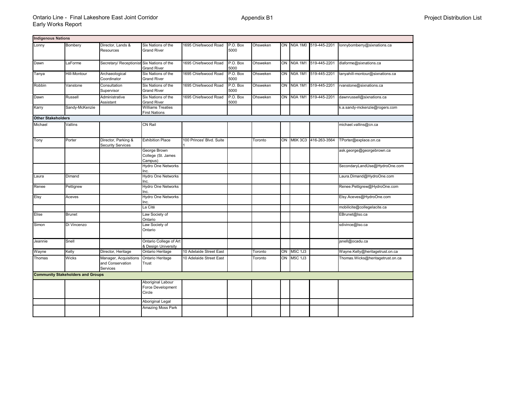| <b>Indigenous Nations</b>   |                                          |                                                       |                                                  |                          |                  |          |            |                         |                                  |
|-----------------------------|------------------------------------------|-------------------------------------------------------|--------------------------------------------------|--------------------------|------------------|----------|------------|-------------------------|----------------------------------|
| Lonny                       | Bombery                                  | Director, Lands &<br>Resources                        | Six Nations of the<br><b>Grand River</b>         | 1695 Chiefswood Road     | P.O. Box<br>5000 | Ohsweken | ON NOA 1MO | 519-445-2201            | onnybomberry@sixnations.ca       |
| Dawn                        | LaForme                                  | Secretary/ Receptionist Six Nations of the            | <b>Grand River</b>                               | 1695 Chiefswood Road     | P.O. Box<br>5000 | Ohsweken | ON N0A 1M1 | 519-445-2201            | dlaforme@sixnations.ca           |
| Tanya                       | Hill-Montour                             | Archaeological<br>Coordinator                         | Six Nations of the<br><b>Grand River</b>         | 1695 Chiefswood Road     | P.O. Box<br>5000 | Ohsweken |            | ON N0A 1M1 519-445-2201 | tanyahill-montour@sixnations.ca  |
| Robbin                      | Vanstone                                 | Consultation<br>Supervisor                            | Six Nations of the<br><b>Grand River</b>         | 1695 Chiefswood Road     | P.O. Box<br>5000 | Ohsweken | ON N0A 1M1 | 519-445-2201            | rvanstone@sixnations.ca          |
| $\overline{\mathsf{D}}$ awn | Russell                                  | Administrative<br>Assistant                           | Six Nations of the<br><b>Grand River</b>         | 1695 Chiefswood Road     | P.O. Box<br>5000 | Ohsweken | ON NOA 1M1 | 519-445-2201            | dawnrussell@sixnations.ca        |
| Karry                       | Sandy-McKenzie                           |                                                       | <b>Williams Treaties</b><br><b>First Nations</b> |                          |                  |          |            |                         | k.a.sandy-mckenzie@rogers.com    |
| <b>Other Stakeholders</b>   |                                          |                                                       |                                                  |                          |                  |          |            |                         |                                  |
| Michael                     | Vallins                                  |                                                       | CN Rail                                          |                          |                  |          |            |                         | michael.vallins@cn.ca            |
| Tony                        | Porter                                   | Director, Parking &<br><b>Security Services</b>       | <b>Exhibition Place</b>                          | 100 Princes' Blvd. Suite |                  | Toronto  |            | ON M6K 3C3 416-263-3564 | TPorter@explace.on.ca            |
|                             |                                          |                                                       | George Brown<br>College (St. James<br>Campus)    |                          |                  |          |            |                         | ask.george@georgebrown.ca        |
|                             |                                          |                                                       | <b>Hydro One Networks</b><br>Inc.                |                          |                  |          |            |                         | SecondaryLandUse@HydroOne.com    |
| Laura                       | Dimand                                   |                                                       | <b>Hydro One Networks</b><br>Inc.                |                          |                  |          |            |                         | Laura.Dimand@HydroOne.com        |
| Renee                       | Pettigrew                                |                                                       | <b>Hydro One Networks</b><br>Inc.                |                          |                  |          |            |                         | Renee.Pettigrew@HydroOne.com     |
| Elsy                        | Aceves                                   |                                                       | <b>Hydro One Networks</b><br>Inc.                |                          |                  |          |            |                         | Elsy.Aceves@HydroOne.com         |
|                             |                                          |                                                       | La Cité                                          |                          |                  |          |            |                         | mobilicite@collegelacite.ca      |
| Elise                       | <b>Brunet</b>                            |                                                       | Law Society of<br>Ontario                        |                          |                  |          |            |                         | EBrunet@Iso.ca                   |
| Simon                       | Di Vincenzo                              |                                                       | Law Society of<br>Ontario                        |                          |                  |          |            |                         | sdivince@lso.ca                  |
| Jeannie                     | Snell                                    |                                                       | Ontario College of Art<br>& Design University    |                          |                  |          |            |                         | snell@ocadu.ca                   |
| Wayne                       | Kelly                                    | Director, Heritage                                    | Ontario Heritage                                 | 10 Adelaide Street East  |                  | Toronto  | ON M5C 1J3 |                         | Wayne.Kelly@heritagetrust.on.ca  |
| Thomas                      | Wicks                                    | Manager, Acquisitions<br>and Conservation<br>Services | Ontario Heritage<br>Trust                        | 10 Adelaide Street East  |                  | Toronto  | ON M5C 1J3 |                         | Thomas.Wicks@heritagetrust.on.ca |
|                             | <b>Community Stakeholders and Groups</b> |                                                       |                                                  |                          |                  |          |            |                         |                                  |
|                             |                                          |                                                       | Aboriginal Labour<br>Force Development<br>Circle |                          |                  |          |            |                         |                                  |
|                             |                                          |                                                       | Aboriginal Legal                                 |                          |                  |          |            |                         |                                  |
|                             |                                          |                                                       | <b>Amazing Moss Park</b>                         |                          |                  |          |            |                         |                                  |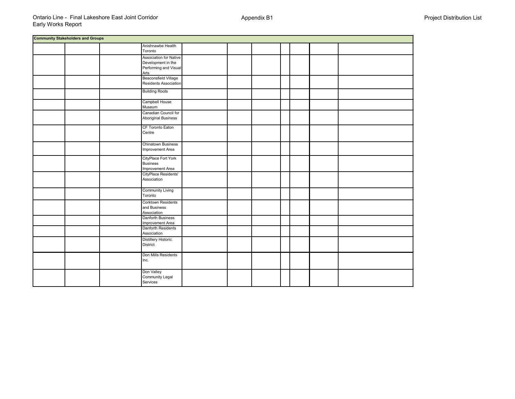| <b>Community Stakeholders and Groups</b> |  |                                                                               |  |  |  |  |
|------------------------------------------|--|-------------------------------------------------------------------------------|--|--|--|--|
|                                          |  | Anishnawbe Health<br>Toronto                                                  |  |  |  |  |
|                                          |  | Association for Native<br>Development in the<br>Performing and Visual<br>Arts |  |  |  |  |
|                                          |  | Beaconsfield Village<br>Residents Association                                 |  |  |  |  |
|                                          |  | <b>Building Roots</b>                                                         |  |  |  |  |
|                                          |  | Campbell House<br>Museum                                                      |  |  |  |  |
|                                          |  | Canadian Council for<br><b>Aboriginal Business</b>                            |  |  |  |  |
|                                          |  | CF Toronto Eaton<br>Centre                                                    |  |  |  |  |
|                                          |  | <b>Chinatown Business</b><br>Improvement Area                                 |  |  |  |  |
|                                          |  | CityPlace Fort York<br><b>Business</b><br>Improvement Area                    |  |  |  |  |
|                                          |  | CityPlace Residents'<br>Association                                           |  |  |  |  |
|                                          |  | <b>Community Living</b><br>Toronto                                            |  |  |  |  |
|                                          |  | <b>Corktown Residents</b><br>and Business<br>Association                      |  |  |  |  |
|                                          |  | Danforth Business<br>Improvement Area                                         |  |  |  |  |
|                                          |  | Danforth Residents<br>Association                                             |  |  |  |  |
|                                          |  | <b>Distillery Historic</b><br>District                                        |  |  |  |  |
|                                          |  | Don Mills Residents<br>Inc.                                                   |  |  |  |  |
|                                          |  | Don Valley<br>Community Legal<br>Services                                     |  |  |  |  |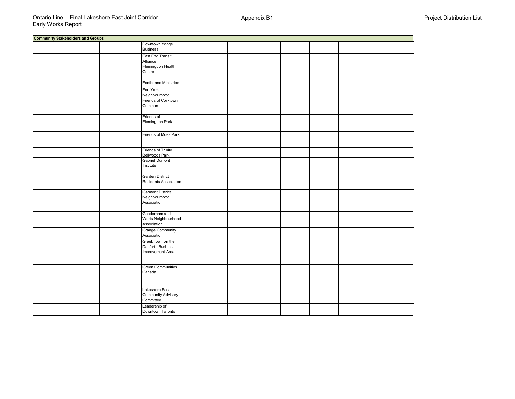| <b>Community Stakeholders and Groups</b> |                                                           |  |  |  |  |
|------------------------------------------|-----------------------------------------------------------|--|--|--|--|
|                                          | Downtown Yonge<br><b>Business</b>                         |  |  |  |  |
|                                          | <b>East End Transit</b><br>Alliance                       |  |  |  |  |
|                                          | Flemingdon Health<br>Centre                               |  |  |  |  |
|                                          | Fontbonne Ministries                                      |  |  |  |  |
|                                          | Fort York<br>Neighbourhood                                |  |  |  |  |
|                                          | Friends of Corktown<br>Common                             |  |  |  |  |
|                                          | Friends of<br>Flemingdon Park                             |  |  |  |  |
|                                          | Friends of Moss Park                                      |  |  |  |  |
|                                          | <b>Friends of Trinity</b><br><b>Bellwoods Park</b>        |  |  |  |  |
|                                          | <b>Gabriel Dumont</b><br>Institute                        |  |  |  |  |
|                                          | Garden District<br><b>Residents Association</b>           |  |  |  |  |
|                                          | <b>Garment District</b><br>Neighbourhood<br>Association   |  |  |  |  |
|                                          | Gooderham and<br>Worts Neighbourhood<br>Association       |  |  |  |  |
|                                          | <b>Grange Community</b><br>Association                    |  |  |  |  |
|                                          | GreekTown on the<br>Danforth Business<br>Improvement Area |  |  |  |  |
|                                          | <b>Green Communities</b><br>Canada                        |  |  |  |  |
|                                          | Lakeshore East<br><b>Community Advisory</b><br>Committee  |  |  |  |  |
|                                          | Leadership of<br>Downtown Toronto                         |  |  |  |  |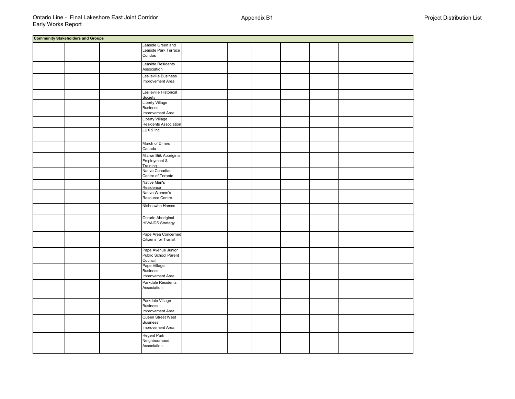| <b>Community Stakeholders and Groups</b> |                                    |  |  |  |  |
|------------------------------------------|------------------------------------|--|--|--|--|
|                                          |                                    |  |  |  |  |
|                                          | Leaside Green and                  |  |  |  |  |
|                                          | Leaside Park Terrace               |  |  |  |  |
|                                          | Condos                             |  |  |  |  |
|                                          | Leaside Residents                  |  |  |  |  |
|                                          | Association                        |  |  |  |  |
|                                          | Leslieville Business               |  |  |  |  |
|                                          | Improvement Area                   |  |  |  |  |
|                                          |                                    |  |  |  |  |
|                                          | Leslieville Historical             |  |  |  |  |
|                                          | Society                            |  |  |  |  |
|                                          | Liberty Village<br><b>Business</b> |  |  |  |  |
|                                          | Improvement Area                   |  |  |  |  |
|                                          | Liberty Village                    |  |  |  |  |
|                                          | Residents Association              |  |  |  |  |
|                                          | LUX 9 Inc.                         |  |  |  |  |
|                                          |                                    |  |  |  |  |
|                                          |                                    |  |  |  |  |
|                                          | March of Dimes                     |  |  |  |  |
|                                          | Canada                             |  |  |  |  |
|                                          | Miziwe Biik Aboriginal             |  |  |  |  |
|                                          | Employment &<br>Training           |  |  |  |  |
|                                          | Native Canadian                    |  |  |  |  |
|                                          | Centre of Toronto                  |  |  |  |  |
|                                          | Native Men's                       |  |  |  |  |
|                                          | Residence                          |  |  |  |  |
|                                          | Native Women's                     |  |  |  |  |
|                                          | Resource Centre                    |  |  |  |  |
|                                          | Nishnawbe Homes                    |  |  |  |  |
|                                          |                                    |  |  |  |  |
|                                          | Ontario Aboriginal                 |  |  |  |  |
|                                          | <b>HIV/AIDS Strategy</b>           |  |  |  |  |
|                                          |                                    |  |  |  |  |
|                                          | Pape Area Concerned                |  |  |  |  |
|                                          | <b>Citizens for Transit</b>        |  |  |  |  |
|                                          |                                    |  |  |  |  |
|                                          | Pape Avenue Junior                 |  |  |  |  |
|                                          | Public School Parent               |  |  |  |  |
|                                          | Council                            |  |  |  |  |
|                                          | Pape Village<br><b>Business</b>    |  |  |  |  |
|                                          | Improvement Area                   |  |  |  |  |
|                                          | Parkdale Residents                 |  |  |  |  |
|                                          | Association                        |  |  |  |  |
|                                          |                                    |  |  |  |  |
|                                          | Parkdale Village                   |  |  |  |  |
|                                          | <b>Business</b>                    |  |  |  |  |
|                                          | Improvement Area                   |  |  |  |  |
|                                          | Queen Street West                  |  |  |  |  |
|                                          | <b>Business</b>                    |  |  |  |  |
|                                          | Improvement Area                   |  |  |  |  |
|                                          | <b>Regent Park</b>                 |  |  |  |  |
|                                          | Neighbourhood                      |  |  |  |  |
|                                          | Association                        |  |  |  |  |
|                                          |                                    |  |  |  |  |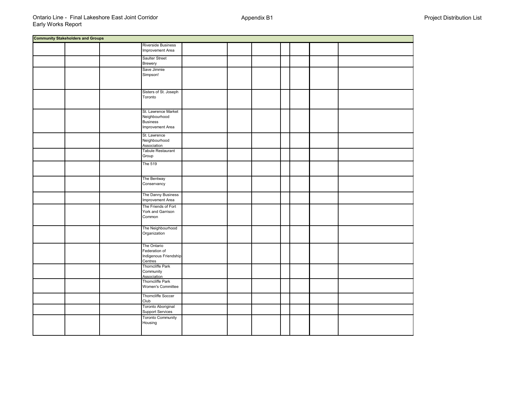| <b>Community Stakeholders and Groups</b> |                                                                             |  |  |  |  |
|------------------------------------------|-----------------------------------------------------------------------------|--|--|--|--|
|                                          | <b>Riverside Business</b><br>Improvement Area                               |  |  |  |  |
|                                          | Saulter Street<br>Brewery                                                   |  |  |  |  |
|                                          | Save Jimmie<br>Simpson!                                                     |  |  |  |  |
|                                          | Sisters of St. Joseph<br>Toronto                                            |  |  |  |  |
|                                          | St. Lawrence Market<br>Neighbourhood<br><b>Business</b><br>Improvement Area |  |  |  |  |
|                                          | St. Lawrence<br>Neighbourhood<br>Association                                |  |  |  |  |
|                                          | Tabule Restaurant<br>Group                                                  |  |  |  |  |
|                                          | The 519                                                                     |  |  |  |  |
|                                          | The Bentway<br>Conservancy                                                  |  |  |  |  |
|                                          | The Danny Business<br>Improvement Area                                      |  |  |  |  |
|                                          | The Friends of Fort<br>York and Garrison<br>Common                          |  |  |  |  |
|                                          | The Neighbourhood<br>Organization                                           |  |  |  |  |
|                                          | The Ontario<br>Federation of<br>Indigenous Friendship<br>Centres            |  |  |  |  |
|                                          | Thorncliffe Park<br>Community<br>Association                                |  |  |  |  |
|                                          | Thorncliffe Park<br>Women's Committee                                       |  |  |  |  |
|                                          | Thorncliffe Soccer<br>Club                                                  |  |  |  |  |
|                                          | Toronto Aboriginal<br>Support Services                                      |  |  |  |  |
|                                          | <b>Toronto Community</b><br>Housing                                         |  |  |  |  |